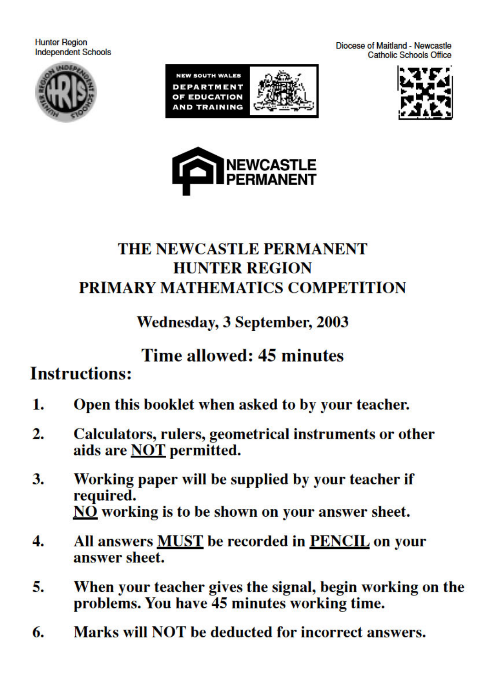**Hunter Region Independent Schools** 













## THE NEWCASTLE PERMANENT **HUNTER REGION** PRIMARY MATHEMATICS COMPETITION

## **Wednesday, 3 September, 2003**

# Time allowed: 45 minutes

# **Instructions:**

- Open this booklet when asked to by your teacher.  $1.$
- $\overline{2}$ . Calculators, rulers, geometrical instruments or other aids are NOT permitted.
- 3. Working paper will be supplied by your teacher if required. NO working is to be shown on your answer sheet.
- All answers **MUST** be recorded in **PENCIL** on your 4. answer sheet.
- 5. When your teacher gives the signal, begin working on the problems. You have 45 minutes working time.
- Marks will NOT be deducted for incorrect answers. 6.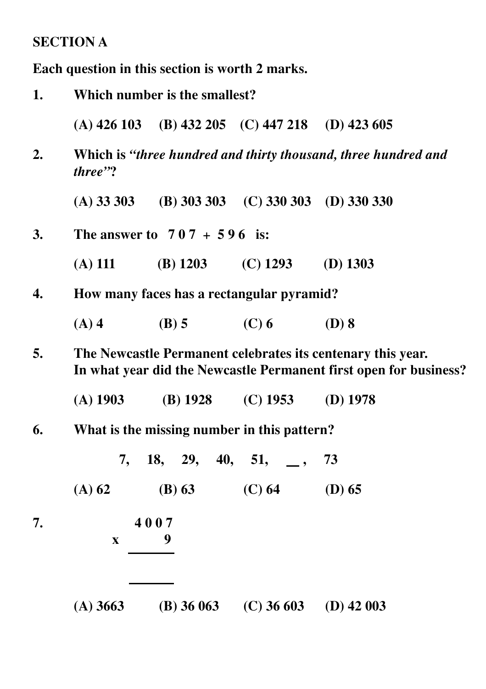### **SECTION A**

**Each question in this section is worth 2 marks.**

| 1. | Which number is the smallest?             |                               |                                                             |                                                                                                                                  |  |
|----|-------------------------------------------|-------------------------------|-------------------------------------------------------------|----------------------------------------------------------------------------------------------------------------------------------|--|
|    |                                           |                               | (A) $426\ 103$ (B) $432\ 205$ (C) $447\ 218$ (D) $423\ 605$ |                                                                                                                                  |  |
| 2. | three"?                                   |                               |                                                             | Which is "three hundred and thirty thousand, three hundred and                                                                   |  |
|    |                                           |                               | (A) 33 303 (B) 303 303 (C) 330 303 (D) 330 330              |                                                                                                                                  |  |
| 3. |                                           | The answer to $707 + 596$ is: |                                                             |                                                                                                                                  |  |
|    | $(A)$ 111                                 |                               | (B) $1203$ (C) $1293$ (D) $1303$                            |                                                                                                                                  |  |
| 4. | How many faces has a rectangular pyramid? |                               |                                                             |                                                                                                                                  |  |
|    | $(A)$ 4                                   | $(B)$ 5                       | $(C)$ 6                                                     | $(D)$ 8                                                                                                                          |  |
| 5. |                                           |                               |                                                             | The Newcastle Permanent celebrates its centenary this year.<br>In what year did the Newcastle Permanent first open for business? |  |
|    | $(A)$ 1903                                |                               | (B) $1928$ (C) $1953$                                       | $(D)$ 1978                                                                                                                       |  |
| 6. |                                           |                               | What is the missing number in this pattern?                 |                                                                                                                                  |  |
|    | 7,                                        | $18, 29, 40, 51, \dots$       |                                                             | 73                                                                                                                               |  |
|    | $(A)$ 62                                  | (B) 63                        | (C) 64                                                      | $(D)$ 65                                                                                                                         |  |
| 7. | X                                         | 4007<br>9                     |                                                             |                                                                                                                                  |  |
|    |                                           |                               |                                                             |                                                                                                                                  |  |

**(A) 3663 (B) 36 063 (C) 36 603 (D) 42 003**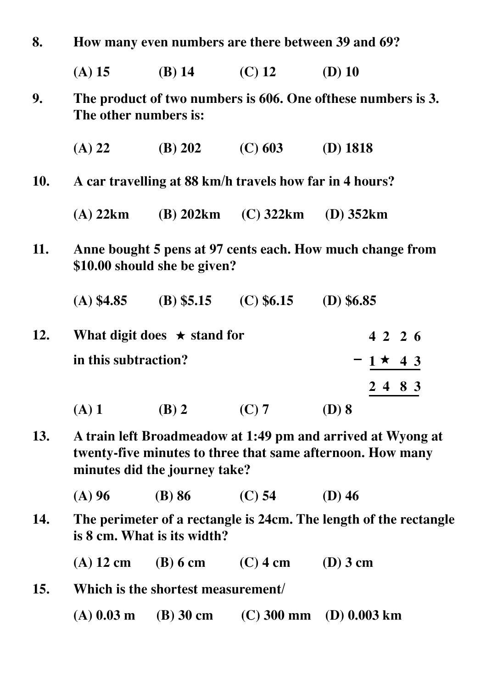| 8.  | How many even numbers are there between 39 and 69?                                                                                                         |                |                |                             |  |  |
|-----|------------------------------------------------------------------------------------------------------------------------------------------------------------|----------------|----------------|-----------------------------|--|--|
|     | $(A)$ 15                                                                                                                                                   | $(B)$ 14       | $(C)$ 12       | $(D)$ 10                    |  |  |
| 9.  | The product of two numbers is 606. One of these numbers is 3.<br>The other numbers is:                                                                     |                |                |                             |  |  |
|     | $(A)$ 22                                                                                                                                                   | (B) 202        | $(C)$ 603      | $(D)$ 1818                  |  |  |
| 10. | A car travelling at 88 km/h travels how far in 4 hours?                                                                                                    |                |                |                             |  |  |
|     | $(A)$ 22 $km$                                                                                                                                              | $(B)$ 202 $km$ | $(C)$ 322 $km$ | $(D)$ 352 $km$              |  |  |
| 11. | Anne bought 5 pens at 97 cents each. How much change from<br>\$10.00 should she be given?                                                                  |                |                |                             |  |  |
|     | $(A)$ \$4.85                                                                                                                                               | $(B)$ \$5.15   | (C) \$6.15     | $(D)$ \$6.85                |  |  |
| 12. | What digit does $\star$ stand for                                                                                                                          |                |                | 4226                        |  |  |
|     | in this subtraction?                                                                                                                                       |                |                | $-1 \star 43$               |  |  |
|     |                                                                                                                                                            |                |                | 2 4 8 3                     |  |  |
|     | $(A)$ 1                                                                                                                                                    | $(B)$ 2        | $(C)$ 7        | $(D)$ 8                     |  |  |
| 13. | A train left Broadmeadow at 1:49 pm and arrived at Wyong at<br>twenty-five minutes to three that same afternoon. How many<br>minutes did the journey take? |                |                |                             |  |  |
|     | $(A)$ 96                                                                                                                                                   | $(B)$ 86       | $(C)$ 54       | $(D)$ 46                    |  |  |
| 14. | The perimeter of a rectangle is 24cm. The length of the rectangle<br>is 8 cm. What is its width?                                                           |                |                |                             |  |  |
|     | $(A)$ 12 cm                                                                                                                                                | $(B)$ 6 cm     | $(C)$ 4 cm     | $(D)$ 3 cm                  |  |  |
| 15. | Which is the shortest measurement/                                                                                                                         |                |                |                             |  |  |
|     | $(A)$ 0.03 m                                                                                                                                               | $(B)$ 30 cm    |                | $(C)$ 300 mm $(D)$ 0.003 km |  |  |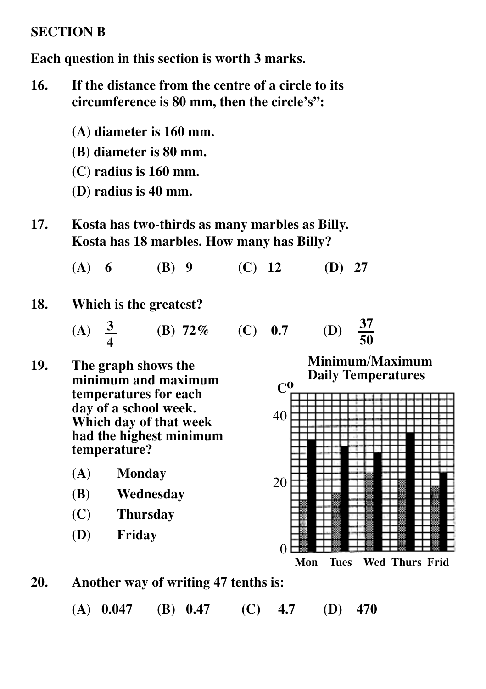#### **SECTION B**

**Each question in this section is worth 3 marks.**

- **16. If the distance from the centre of a circle to its circumference is 80 mm, then the circle's":**
	- **(A) diameter is 160 mm.**
	- **(B) diameter is 80 mm.**
	- **(C) radius is 160 mm.**
	- **(D) radius is 40 mm.**
- **17. Kosta has two-thirds as many marbles as Billy. Kosta has 18 marbles. How many has Billy?**

**(A) 6 (B) 9 (C) 12 (D) 27**

#### **18. Which is the greatest?**

**(B)**  $72\%$  **(C)**  $0.7$ **37 50 3 4**

- **19. The graph shows the minimum and maximum temperatures for each day of a school week. Which day of that week had the highest minimum temperature?**
	- **(A) Monday**
	- **(B) Wednesday**
	- **(C) Thursday**
	- **(D) Friday**

**Minimum/Maximum Daily Temperatures**  $\mathbf{C}^{\mathbf{0}}$ 40 20

**Mon Tues Wed Thurs Frid**

**20. Another way of writing 47 tenths is:**

**(A) 0.047 (B) 0.47 (C) 4.7 (D) 470**

0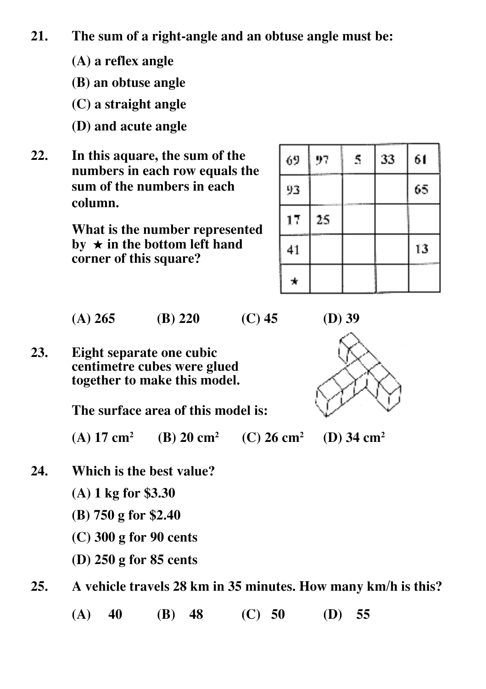- **21. The sum of a right-angle and an obtuse angle must be:**
	- **(A) a reflex angle**
	- **(B) an obtuse angle**
	- **(C) a straight angle**
	- **(D) and acute angle**
- **22. In this aquare, the sum of the numbers in each row equals the sum of the numbers in each column.**

**What is the number represented**  $\mathbf{b}\mathbf{v} \star \mathbf{b}$  in the bottom left hand **corner of this square?**

| 69 | 97 | 5 | 33 | 61 |
|----|----|---|----|----|
| 93 |    |   |    | 65 |
| 17 | 25 |   |    |    |
| 41 |    |   |    | 13 |
| *  |    |   |    |    |

**(A) 265 (B) 220 (C) 45 (D) 39**

**23. Eight separate one cubic centimetre cubes were glued together to make this model.**

**The surface area of this model is:**

**(A) 17 cm2 (B) 20 cm2 (C) 26 cm2 (D) 34 cm2**

- **24. Which is the best value?**
	- **(A) 1 kg for \$3.30**
	- **(B) 750 g for \$2.40**
	- **(C) 300 g for 90 cents**
	- **(D) 250 g for 85 cents**
- **25. A vehicle travels 28 km in 35 minutes. How many km/h is this?**

**(A) 40 (B) 48 (C) 50 (D) 55**

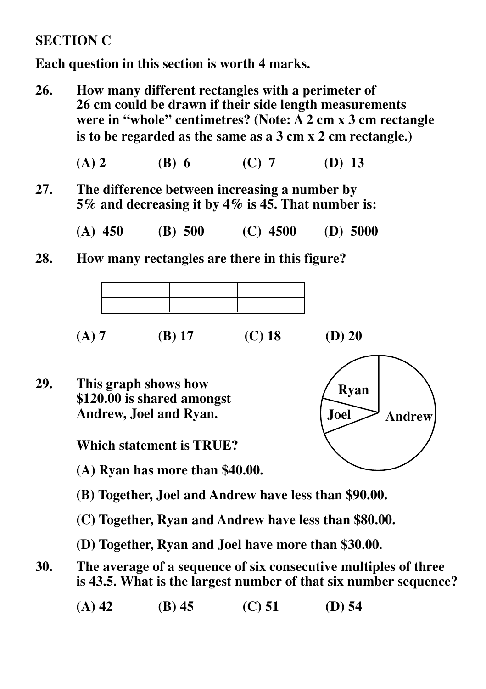#### **SECTION C**

**Each question in this section is worth 4 marks.**

- **26. How many different rectangles with a perimeter of 26 cm could be drawn if their side length measurements were in "whole" centimetres? (Note: A 2 cm x 3 cm rectangle is to be regarded as the same as a 3 cm x 2 cm rectangle.)**
	- **(A) 2 (B) 6 (C) 7 (D) 13**
- **27. The difference between increasing a number by 5% and decreasing it by 4% is 45. That number is:**
	- **(A) 450 (B) 500 (C) 4500 (D) 5000**
- **28. How many rectangles are there in this figure?**



**29. This graph shows how \$120.00 is shared amongst Andrew, Joel and Ryan.**

**Which statement is TRUE?**

**(A) Ryan has more than \$40.00.**

- **(B) Together, Joel and Andrew have less than \$90.00.**
- **(C) Together, Ryan and Andrew have less than \$80.00.**
- **(D) Together, Ryan and Joel have more than \$30.00.**
- **30. The average of a sequence of six consecutive multiples of three is 43.5. What is the largest number of that six number sequence?**
	- **(A) 42 (B) 45 (C) 51 (D) 54**

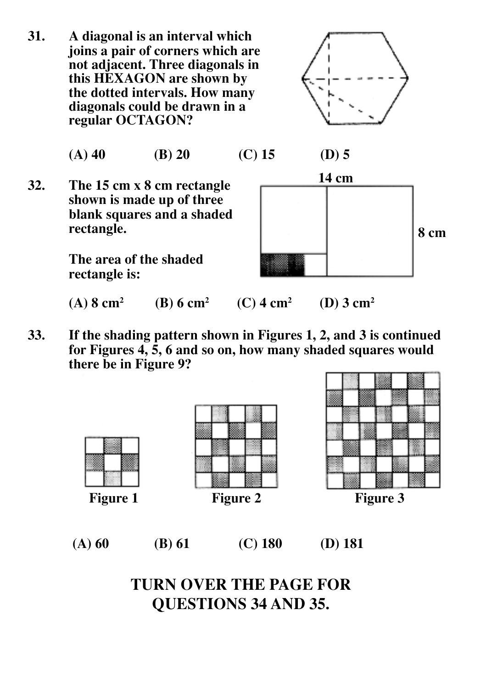**31. A diagonal is an interval which joins a pair of corners which are not adjacent. Three diagonals in this HEXAGON are shown by the dotted intervals. How many diagonals could be drawn in a regular OCTAGON?**



|  | $(A)$ 40 | $(B)$ 20 | $(C)$ 15 | $(D)$ 5 |
|--|----------|----------|----------|---------|
|--|----------|----------|----------|---------|

**32. The 15 cm x 8 cm rectangle shown is made up of three blank squares and a shaded rectangle.**

> **The area of the shaded rectangle is:**



**(A) 8 cm2 (B) 6 cm2**  **(C) 4 cm2 (D) 3 cm2**

**33. If the shading pattern shown in Figures 1, 2, and 3 is continued for Figures 4, 5, 6 and so on, how many shaded squares would there be in Figure 9?**









**TURN OVER THE PAGE FOR QUESTIONS 34 AND 35.**